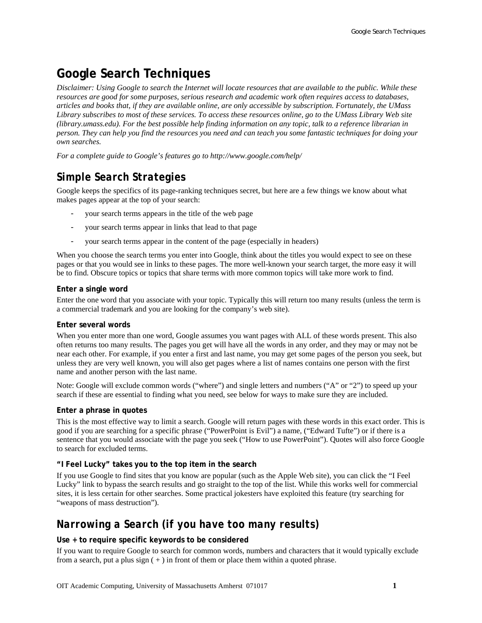# **Google Search Techniques**

*Disclaimer: Using Google to search the Internet will locate resources that are available to the public. While these resources are good for some purposes, serious research and academic work often requires access to databases, articles and books that, if they are available online, are only accessible by subscription. Fortunately, the UMass Library subscribes to most of these services. To access these resources online, go to the UMass Library Web site (library.umass.edu). For the best possible help finding information on any topic, talk to a reference librarian in person. They can help you find the resources you need and can teach you some fantastic techniques for doing your own searches.* 

*For a complete guide to Google's features go to http://www.google.com/help/* 

## *Simple Search Strategies*

Google keeps the specifics of its page-ranking techniques secret, but here are a few things we know about what makes pages appear at the top of your search:

- your search terms appears in the title of the web page
- your search terms appear in links that lead to that page
- your search terms appear in the content of the page (especially in headers)

When you choose the search terms you enter into Google, think about the titles you would expect to see on these pages or that you would see in links to these pages. The more well-known your search target, the more easy it will be to find. Obscure topics or topics that share terms with more common topics will take more work to find.

#### **Enter a single word**

Enter the one word that you associate with your topic. Typically this will return too many results (unless the term is a commercial trademark and you are looking for the company's web site).

#### **Enter several words**

When you enter more than one word, Google assumes you want pages with ALL of these words present. This also often returns too many results. The pages you get will have all the words in any order, and they may or may not be near each other. For example, if you enter a first and last name, you may get some pages of the person you seek, but unless they are very well known, you will also get pages where a list of names contains one person with the first name and another person with the last name.

Note: Google will exclude common words ("where") and single letters and numbers ("A" or "2") to speed up your search if these are essential to finding what you need, see below for ways to make sure they are included.

#### **Enter a phrase in quotes**

This is the most effective way to limit a search. Google will return pages with these words in this exact order. This is good if you are searching for a specific phrase ("PowerPoint is Evil") a name, ("Edward Tufte") or if there is a sentence that you would associate with the page you seek ("How to use PowerPoint"). Quotes will also force Google to search for excluded terms.

#### **"I Feel Lucky" takes you to the top item in the search**

If you use Google to find sites that you know are popular (such as the Apple Web site), you can click the "I Feel Lucky" link to bypass the search results and go straight to the top of the list. While this works well for commercial sites, it is less certain for other searches. Some practical jokesters have exploited this feature (try searching for "weapons of mass destruction").

## *Narrowing a Search (if you have too many results)*

#### **Use + to require specific keywords to be considered**

If you want to require Google to search for common words, numbers and characters that it would typically exclude from a search, put a plus sign  $(+)$  in front of them or place them within a quoted phrase.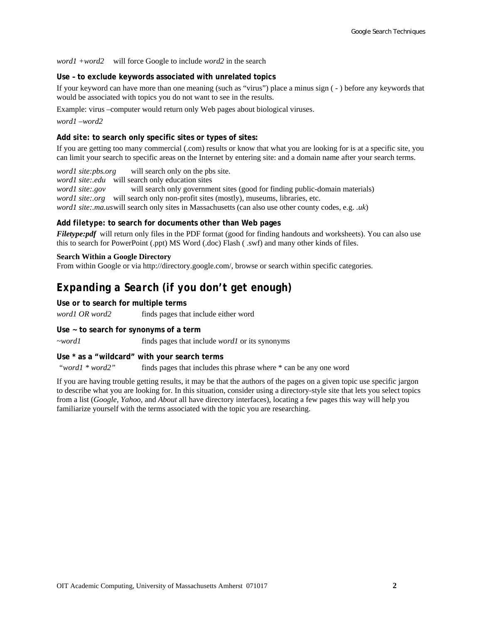*word1 +word2* will force Google to include *word2* in the search

#### **Use – to exclude keywords associated with unrelated topics**

If your keyword can have more than one meaning (such as "virus") place a minus sign ( - ) before any keywords that would be associated with topics you do not want to see in the results.

Example: virus –computer would return only Web pages about biological viruses.

*word1 –word2* 

#### **Add** *site:* **to search only specific sites or types of sites:**

If you are getting too many commercial (.com) results or know that what you are looking for is at a specific site, you can limit your search to specific areas on the Internet by entering site: and a domain name after your search terms.

*word1 site:pbs.org* will search only on the pbs site.

*word1 site:.edu* will search only education sites

*word1 site:.gov* will search only government sites (good for finding public-domain materials) *word1 site:.org* will search only non-profit sites (mostly), museums, libraries, etc. *word1 site:.ma.us* will search only sites in Massachusetts (can also use other county codes, e.g. *.uk*)

#### **Add** *filetype:* **to search for documents other than Web pages**

*Filetype:pdf* will return only files in the PDF format (good for finding handouts and worksheets). You can also use this to search for PowerPoint (.ppt) MS Word (.doc) Flash ( .swf) and many other kinds of files.

#### **Search Within a Google Directory**

From within Google or via http://directory.google.com/, browse or search within specific categories.

### *Expanding a Search (if you don't get enough)*

#### **Use** *or* **to search for multiple terms**

*word1 OR word2* finds pages that include either word

**Use ~ to search for synonyms of a term** 

*~word1* finds pages that include *word1* or its synonyms

#### **Use \* as a "wildcard" with your search terms**

 *"word1 \* word2"* finds pages that includes this phrase where \* can be any one word

If you are having trouble getting results, it may be that the authors of the pages on a given topic use specific jargon to describe what you are looking for. In this situation, consider using a directory-style site that lets you select topics from a list (*Google*, *Yahoo*, and *About* all have directory interfaces), locating a few pages this way will help you familiarize yourself with the terms associated with the topic you are researching.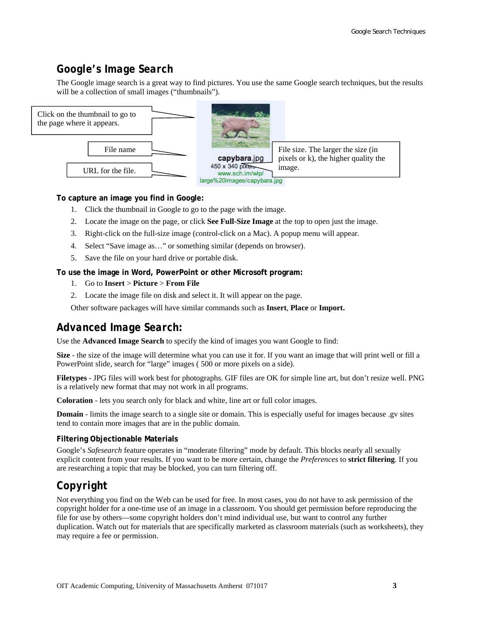### *Google's Image Search*

The Google image search is a great way to find pictures. You use the same Google search techniques, but the results will be a collection of small images ("thumbnails").



#### **To capture an image you find in Google:**

- 1. Click the thumbnail in Google to go to the page with the image.
- 2. Locate the image on the page, or click **See Full-Size Image** at the top to open just the image.
- 3. Right-click on the full-size image (control-click on a Mac). A popup menu will appear.
- 4. Select "Save image as…" or something similar (depends on browser).
- 5. Save the file on your hard drive or portable disk.

#### **To use the image in Word, PowerPoint or other Microsoft program:**

- 1. Go to **Insert** > **Picture** > **From File**
- 2. Locate the image file on disk and select it. It will appear on the page.

Other software packages will have similar commands such as **Insert**, **Place** or **Import.** 

### *Advanced Image Search:*

Use the **Advanced Image Search** to specify the kind of images you want Google to find:

**Size** - the size of the image will determine what you can use it for. If you want an image that will print well or fill a PowerPoint slide, search for "large" images ( 500 or more pixels on a side).

**Filetypes** - JPG files will work best for photographs. GIF files are OK for simple line art, but don't resize well. PNG is a relatively new format that may not work in all programs.

**Coloration** - lets you search only for black and white, line art or full color images.

**Domain** - limits the image search to a single site or domain. This is especially useful for images because .gv sites tend to contain more images that are in the public domain.

#### **Filtering Objectionable Materials**

Google's *Safesearch* feature operates in "moderate filtering" mode by default. This blocks nearly all sexually explicit content from your results. If you want to be more certain, change the *Preferences* to **strict filtering**. If you are researching a topic that may be blocked, you can turn filtering off.

## *Copyright*

Not everything you find on the Web can be used for free. In most cases, you do not have to ask permission of the copyright holder for a one-time use of an image in a classroom. You should get permission before reproducing the file for use by others—some copyright holders don't mind individual use, but want to control any further duplication. Watch out for materials that are specifically marketed as classroom materials (such as worksheets), they may require a fee or permission.